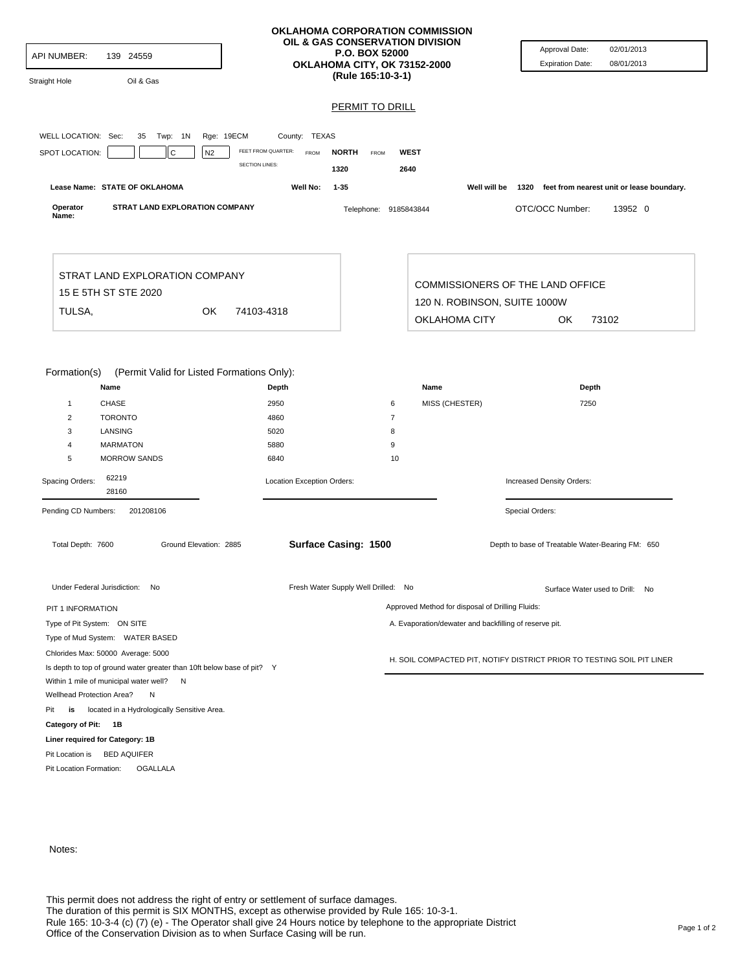| API NUMBER:<br>139 24559<br><b>Straight Hole</b><br>Oil & Gas                                                                                                                                                                                                                  |                                                                             | <b>OKLAHOMA CORPORATION COMMISSION</b><br>OIL & GAS CONSERVATION DIVISION<br><b>P.O. BOX 52000</b><br>OKLAHOMA CITY, OK 73152-2000<br>(Rule 165:10-3-1) |                                                                        | Approval Date:<br>02/01/2013<br><b>Expiration Date:</b><br>08/01/2013 |  |
|--------------------------------------------------------------------------------------------------------------------------------------------------------------------------------------------------------------------------------------------------------------------------------|-----------------------------------------------------------------------------|---------------------------------------------------------------------------------------------------------------------------------------------------------|------------------------------------------------------------------------|-----------------------------------------------------------------------|--|
|                                                                                                                                                                                                                                                                                |                                                                             | <b>PERMIT TO DRILL</b>                                                                                                                                  |                                                                        |                                                                       |  |
|                                                                                                                                                                                                                                                                                |                                                                             |                                                                                                                                                         |                                                                        |                                                                       |  |
| WELL LOCATION: Sec:<br>35 Twp: 1N                                                                                                                                                                                                                                              | Rge: 19ECM<br>County: TEXAS                                                 |                                                                                                                                                         |                                                                        |                                                                       |  |
| C<br>SPOT LOCATION:<br>N2                                                                                                                                                                                                                                                      | FEET FROM QUARTER:<br><b>FROM</b><br><b>SECTION LINES:</b>                  | <b>NORTH</b><br><b>FROM</b>                                                                                                                             | <b>WEST</b>                                                            |                                                                       |  |
|                                                                                                                                                                                                                                                                                |                                                                             | 1320<br>2640                                                                                                                                            |                                                                        |                                                                       |  |
| Lease Name: STATE OF OKLAHOMA                                                                                                                                                                                                                                                  | Well No:                                                                    | $1 - 35$                                                                                                                                                | Well will be                                                           | 1320 feet from nearest unit or lease boundary.                        |  |
| STRAT LAND EXPLORATION COMPANY<br>Operator<br>Name:                                                                                                                                                                                                                            |                                                                             | Telephone: 9185843844                                                                                                                                   |                                                                        | OTC/OCC Number:<br>13952 0                                            |  |
|                                                                                                                                                                                                                                                                                |                                                                             |                                                                                                                                                         |                                                                        |                                                                       |  |
| STRAT LAND EXPLORATION COMPANY                                                                                                                                                                                                                                                 |                                                                             |                                                                                                                                                         |                                                                        | <b>COMMISSIONERS OF THE LAND OFFICE</b>                               |  |
| 15 E 5TH ST STE 2020                                                                                                                                                                                                                                                           |                                                                             |                                                                                                                                                         | 120 N. ROBINSON, SUITE 1000W                                           |                                                                       |  |
| TULSA,<br>0K                                                                                                                                                                                                                                                                   | 74103-4318                                                                  |                                                                                                                                                         | OKLAHOMA CITY<br>OK<br>73102                                           |                                                                       |  |
| Formation(s)<br>(Permit Valid for Listed Formations Only):<br>Name<br><b>CHASE</b><br>1<br>$\overline{2}$<br><b>TORONTO</b><br>3<br>LANSING<br>$\overline{4}$<br>MARMATON<br>5<br><b>MORROW SANDS</b><br>62219<br>Spacing Orders:<br>28160<br>Pending CD Numbers:<br>201208106 | Depth<br>2950<br>4860<br>5020<br>5880<br>6840<br>Location Exception Orders: | 6<br>$\overline{7}$<br>8<br>9<br>10                                                                                                                     | Name<br>MISS (CHESTER)                                                 | Depth<br>7250<br>Increased Density Orders:<br>Special Orders:         |  |
| Total Depth: 7600<br>Ground Elevation: 2885                                                                                                                                                                                                                                    |                                                                             | Surface Casing: 1500                                                                                                                                    |                                                                        | Depth to base of Treatable Water-Bearing FM: 650                      |  |
| Under Federal Jurisdiction: No                                                                                                                                                                                                                                                 |                                                                             | Fresh Water Supply Well Drilled: No                                                                                                                     |                                                                        | Surface Water used to Drill: No                                       |  |
|                                                                                                                                                                                                                                                                                |                                                                             |                                                                                                                                                         | Approved Method for disposal of Drilling Fluids:                       |                                                                       |  |
| Type of Pit System: ON SITE                                                                                                                                                                                                                                                    | PIT 1 INFORMATION                                                           |                                                                                                                                                         |                                                                        | A. Evaporation/dewater and backfilling of reserve pit.                |  |
| Type of Mud System: WATER BASED                                                                                                                                                                                                                                                |                                                                             |                                                                                                                                                         |                                                                        |                                                                       |  |
| Chlorides Max: 50000 Average: 5000<br>Is depth to top of ground water greater than 10ft below base of pit? Y                                                                                                                                                                   |                                                                             |                                                                                                                                                         | H. SOIL COMPACTED PIT, NOTIFY DISTRICT PRIOR TO TESTING SOIL PIT LINER |                                                                       |  |
| Within 1 mile of municipal water well?<br>N                                                                                                                                                                                                                                    |                                                                             |                                                                                                                                                         |                                                                        |                                                                       |  |
| Wellhead Protection Area?<br>N                                                                                                                                                                                                                                                 |                                                                             |                                                                                                                                                         |                                                                        |                                                                       |  |
| located in a Hydrologically Sensitive Area.<br>Pit<br>is                                                                                                                                                                                                                       |                                                                             |                                                                                                                                                         |                                                                        |                                                                       |  |
| Category of Pit: 1B                                                                                                                                                                                                                                                            |                                                                             |                                                                                                                                                         |                                                                        |                                                                       |  |
| Liner required for Category: 1B<br>Pit Location is BED AQUIFER                                                                                                                                                                                                                 |                                                                             |                                                                                                                                                         |                                                                        |                                                                       |  |
| Pit Location Formation:<br><b>OGALLALA</b>                                                                                                                                                                                                                                     |                                                                             |                                                                                                                                                         |                                                                        |                                                                       |  |
|                                                                                                                                                                                                                                                                                |                                                                             |                                                                                                                                                         |                                                                        |                                                                       |  |

Notes:

This permit does not address the right of entry or settlement of surface damages. The duration of this permit is SIX MONTHS, except as otherwise provided by Rule 165: 10-3-1.<br>Rule 165: 10-3-4 (c) (7) (e) - The Operator shall give 24 Hours notice by telephone to the appropriate District<br>Office of the Con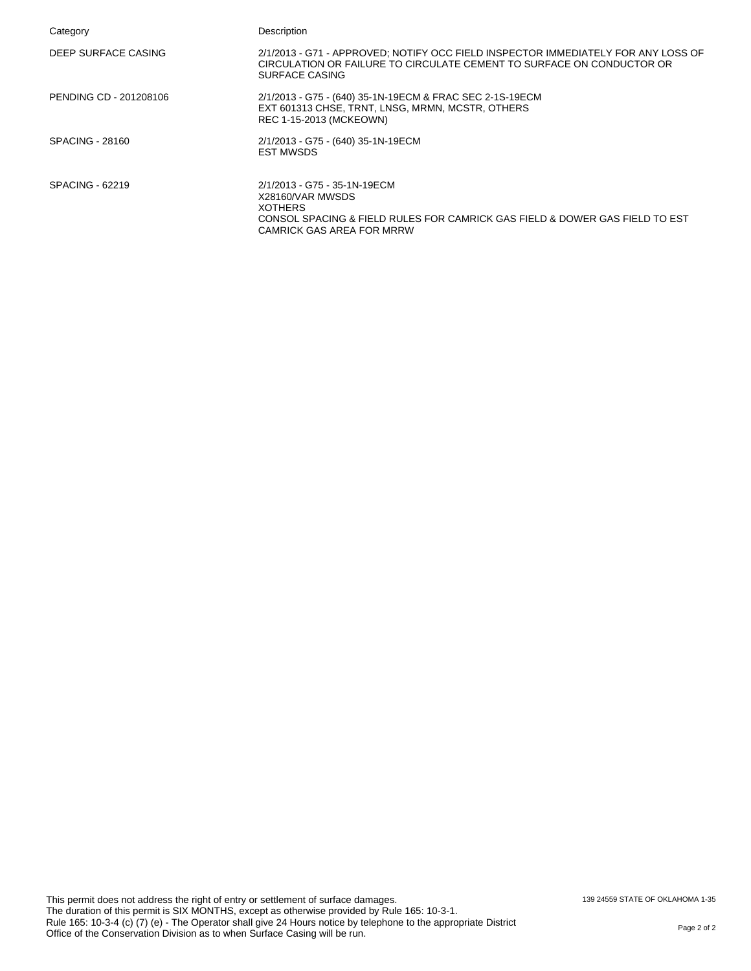| Category               | Description                                                                                                                                                                           |
|------------------------|---------------------------------------------------------------------------------------------------------------------------------------------------------------------------------------|
| DEEP SURFACE CASING    | 2/1/2013 - G71 - APPROVED; NOTIFY OCC FIELD INSPECTOR IMMEDIATELY FOR ANY LOSS OF<br>CIRCULATION OR FAILURE TO CIRCULATE CEMENT TO SURFACE ON CONDUCTOR OR<br><b>SURFACE CASING</b>   |
| PENDING CD - 201208106 | 2/1/2013 - G75 - (640) 35-1N-19ECM & FRAC SEC 2-1S-19ECM<br>EXT 601313 CHSE, TRNT, LNSG, MRMN, MCSTR, OTHERS<br>REC 1-15-2013 (MCKEOWN)                                               |
| SPACING - 28160        | 2/1/2013 - G75 - (640) 35-1N-19ECM<br>EST MWSDS                                                                                                                                       |
| SPACING - 62219        | 2/1/2013 - G75 - 35-1N-19ECM<br>X28160/VAR MWSDS<br><b>XOTHERS</b><br>CONSOL SPACING & FIELD RULES FOR CAMRICK GAS FIELD & DOWER GAS FIELD TO EST<br><b>CAMRICK GAS AREA FOR MRRW</b> |